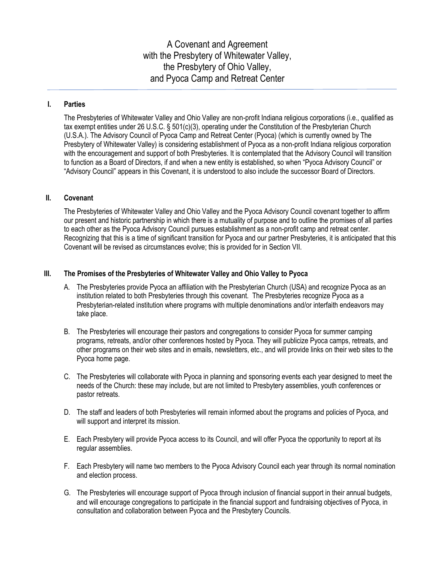A Covenant and Agreement with the Presbytery of Whitewater Valley, the Presbytery of Ohio Valley, and Pyoca Camp and Retreat Center

## **I. Parties**

The Presbyteries of Whitewater Valley and Ohio Valley are non-profit Indiana religious corporations (i.e., qualified as tax exempt entities under 26 U.S.C. § 501(c)(3), operating under the Constitution of the Presbyterian Church (U.S.A.). The Advisory Council of Pyoca Camp and Retreat Center (Pyoca) (which is currently owned by The Presbytery of Whitewater Valley) is considering establishment of Pyoca as a non-profit Indiana religious corporation with the encouragement and support of both Presbyteries. It is contemplated that the Advisory Council will transition to function as a Board of Directors, if and when a new entity is established, so when "Pyoca Advisory Council" or "Advisory Council" appears in this Covenant, it is understood to also include the successor Board of Directors.

## **II. Covenant**

The Presbyteries of Whitewater Valley and Ohio Valley and the Pyoca Advisory Council covenant together to affirm our present and historic partnership in which there is a mutuality of purpose and to outline the promises of all parties to each other as the Pyoca Advisory Council pursues establishment as a non-profit camp and retreat center. Recognizing that this is a time of significant transition for Pyoca and our partner Presbyteries, it is anticipated that this Covenant will be revised as circumstances evolve; this is provided for in Section VII.

## **III. The Promises of the Presbyteries of Whitewater Valley and Ohio Valley to Pyoca**

- A. The Presbyteries provide Pyoca an affiliation with the Presbyterian Church (USA) and recognize Pyoca as an institution related to both Presbyteries through this covenant. The Presbyteries recognize Pyoca as a Presbyterian-related institution where programs with multiple denominations and/or interfaith endeavors may take place.
- B. The Presbyteries will encourage their pastors and congregations to consider Pyoca for summer camping programs, retreats, and/or other conferences hosted by Pyoca. They will publicize Pyoca camps, retreats, and other programs on their web sites and in emails, newsletters, etc., and will provide links on their web sites to the Pyoca home page.
- C. The Presbyteries will collaborate with Pyoca in planning and sponsoring events each year designed to meet the needs of the Church: these may include, but are not limited to Presbytery assemblies, youth conferences or pastor retreats.
- D. The staff and leaders of both Presbyteries will remain informed about the programs and policies of Pyoca, and will support and interpret its mission.
- E. Each Presbytery will provide Pyoca access to its Council, and will offer Pyoca the opportunity to report at its regular assemblies.
- F. Each Presbytery will name two members to the Pyoca Advisory Council each year through its normal nomination and election process.
- G. The Presbyteries will encourage support of Pyoca through inclusion of financial support in their annual budgets, and will encourage congregations to participate in the financial support and fundraising objectives of Pyoca, in consultation and collaboration between Pyoca and the Presbytery Councils.